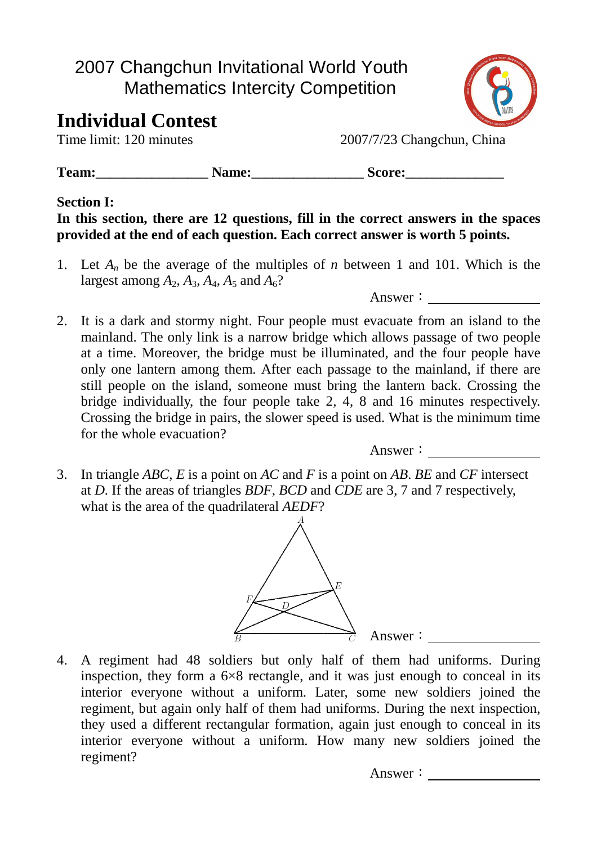## 2007 Changchun Invitational World Youth Mathematics Intercity Competition

# **Individual Contest**

Time limit: 120 minutes 2007/7/23 Changchun, China

Team: Name: Score:

## **Section I:**

**In this section, there are 12 questions, fill in the correct answers in the spaces provided at the end of each question. Each correct answer is worth 5 points.** 

1. Let *An* be the average of the multiples of *n* between 1 and 101. Which is the largest among  $A_2$ ,  $A_3$ ,  $A_4$ ,  $A_5$  and  $A_6$ ?

Answer:

2. It is a dark and stormy night. Four people must evacuate from an island to the mainland. The only link is a narrow bridge which allows passage of two people at a time. Moreover, the bridge must be illuminated, and the four people have only one lantern among them. After each passage to the mainland, if there are still people on the island, someone must bring the lantern back. Crossing the bridge individually, the four people take 2, 4, 8 and 16 minutes respectively. Crossing the bridge in pairs, the slower speed is used. What is the minimum time for the whole evacuation?

Answer:

3. In triangle *ABC*, *E* is a point on *AC* and *F* is a point on *AB*. *BE* and *CF* intersect at *D*. If the areas of triangles *BDF*, *BCD* and *CDE* are 3, 7 and 7 respectively, what is the area of the quadrilateral *AEDF*?



4. A regiment had 48 soldiers but only half of them had uniforms. During inspection, they form a  $6\times 8$  rectangle, and it was just enough to conceal in its interior everyone without a uniform. Later, some new soldiers joined the regiment, but again only half of them had uniforms. During the next inspection, they used a different rectangular formation, again just enough to conceal in its interior everyone without a uniform. How many new soldiers joined the regiment?



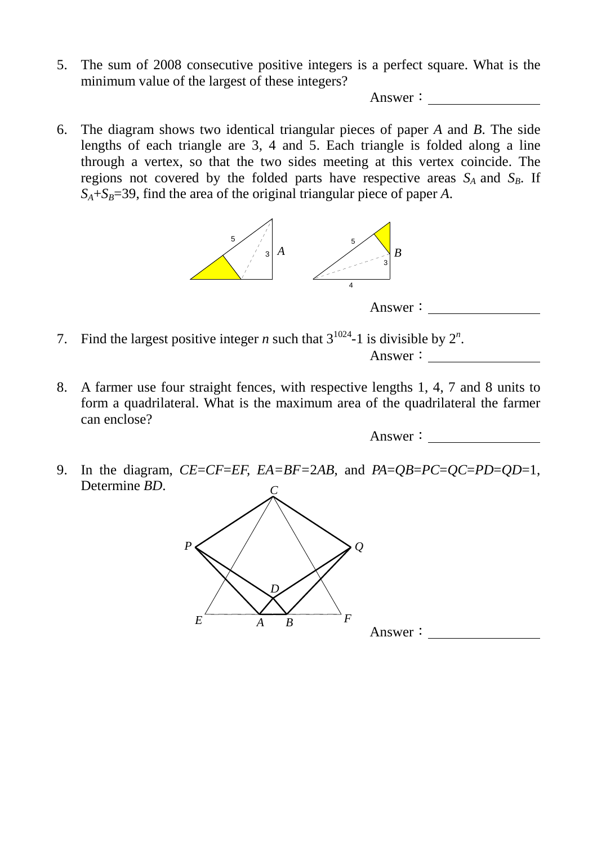5. The sum of 2008 consecutive positive integers is a perfect square. What is the minimum value of the largest of these integers?

Answer:

6. The diagram shows two identical triangular pieces of paper *A* and *B*. The side lengths of each triangle are 3, 4 and 5. Each triangle is folded along a line through a vertex, so that the two sides meeting at this vertex coincide. The regions not covered by the folded parts have respective areas  $S_A$  and  $S_B$ . If  $S_A + S_B = 39$ , find the area of the original triangular piece of paper *A*.





7. Find the largest positive integer *n* such that  $3^{1024}$ -1 is divisible by  $2^n$ .

```
Answer:
```
8. A farmer use four straight fences, with respective lengths 1, 4, 7 and 8 units to form a quadrilateral. What is the maximum area of the quadrilateral the farmer can enclose?

Answer:

9. In the diagram, *CE*=*CF*=*EF, EA=BF=*2*AB*, and *PA*=*QB*=*PC*=*QC*=*PD*=*QD*=1, Determine *BD*. *C*

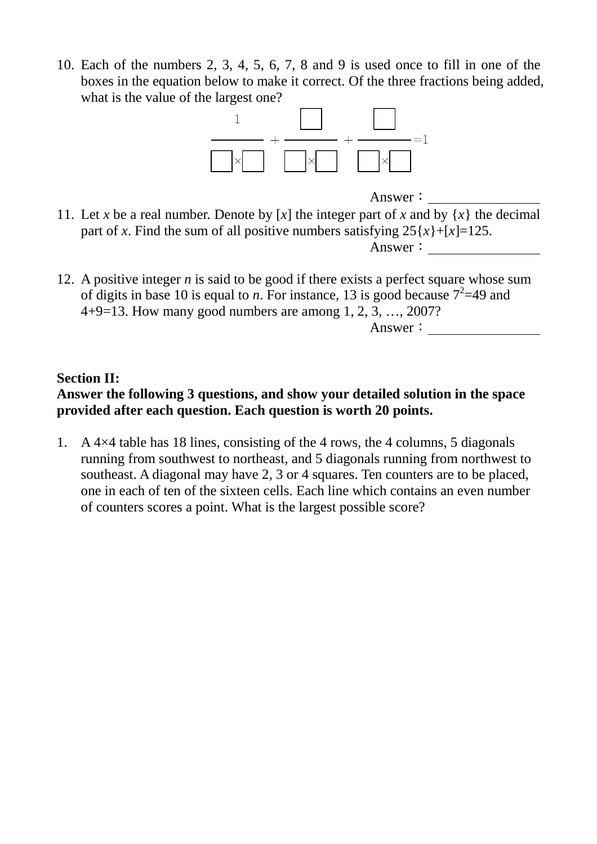10. Each of the numbers 2, 3, 4, 5, 6, 7, 8 and 9 is used once to fill in one of the boxes in the equation below to make it correct. Of the three fractions being added, what is the value of the largest one?



Answer:

- 11. Let *x* be a real number. Denote by [*x*] the integer part of *x* and by {*x*} the decimal part of *x*. Find the sum of all positive numbers satisfying  $25\{x\} + [x] = 125$ . Answer:
- 12. A positive integer *n* is said to be good if there exists a perfect square whose sum of digits in base 10 is equal to *n*. For instance, 13 is good because  $7^2$ =49 and 4+9=13. How many good numbers are among 1, 2, 3, …, 2007?

Answer:

#### **Section II:**

### **Answer the following 3 questions, and show your detailed solution in the space provided after each question. Each question is worth 20 points.**

1. A 4×4 table has 18 lines, consisting of the 4 rows, the 4 columns, 5 diagonals running from southwest to northeast, and 5 diagonals running from northwest to southeast. A diagonal may have 2, 3 or 4 squares. Ten counters are to be placed, one in each of ten of the sixteen cells. Each line which contains an even number of counters scores a point. What is the largest possible score?